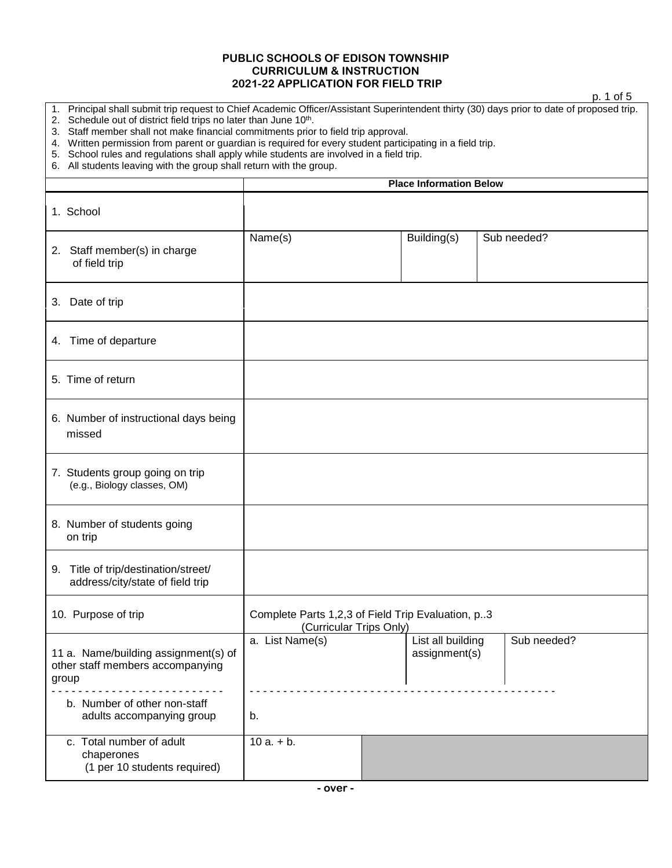## **PUBLIC SCHOOLS OF EDISON TOWNSHIP CURRICULUM & INSTRUCTION 2021-22 APPLICATION FOR FIELD TRIP**

|                                                                                                                                                                                                                                                                                                                                                                                                                                                                                                                                                                                                       |                                                                              |                                    | p. 1 of 5   |  |
|-------------------------------------------------------------------------------------------------------------------------------------------------------------------------------------------------------------------------------------------------------------------------------------------------------------------------------------------------------------------------------------------------------------------------------------------------------------------------------------------------------------------------------------------------------------------------------------------------------|------------------------------------------------------------------------------|------------------------------------|-------------|--|
| 1. Principal shall submit trip request to Chief Academic Officer/Assistant Superintendent thirty (30) days prior to date of proposed trip.<br>Schedule out of district field trips no later than June 10 <sup>th</sup> .<br>2.<br>3. Staff member shall not make financial commitments prior to field trip approval.<br>4. Written permission from parent or guardian is required for every student participating in a field trip.<br>5. School rules and regulations shall apply while students are involved in a field trip.<br>6. All students leaving with the group shall return with the group. |                                                                              |                                    |             |  |
|                                                                                                                                                                                                                                                                                                                                                                                                                                                                                                                                                                                                       |                                                                              | <b>Place Information Below</b>     |             |  |
| 1. School                                                                                                                                                                                                                                                                                                                                                                                                                                                                                                                                                                                             |                                                                              |                                    |             |  |
| 2. Staff member(s) in charge<br>of field trip                                                                                                                                                                                                                                                                                                                                                                                                                                                                                                                                                         | Name(s)                                                                      | Building(s)                        | Sub needed? |  |
| 3. Date of trip                                                                                                                                                                                                                                                                                                                                                                                                                                                                                                                                                                                       |                                                                              |                                    |             |  |
| 4. Time of departure                                                                                                                                                                                                                                                                                                                                                                                                                                                                                                                                                                                  |                                                                              |                                    |             |  |
| 5. Time of return                                                                                                                                                                                                                                                                                                                                                                                                                                                                                                                                                                                     |                                                                              |                                    |             |  |
| 6. Number of instructional days being<br>missed                                                                                                                                                                                                                                                                                                                                                                                                                                                                                                                                                       |                                                                              |                                    |             |  |
| 7. Students group going on trip<br>(e.g., Biology classes, OM)                                                                                                                                                                                                                                                                                                                                                                                                                                                                                                                                        |                                                                              |                                    |             |  |
| 8. Number of students going<br>on trip                                                                                                                                                                                                                                                                                                                                                                                                                                                                                                                                                                |                                                                              |                                    |             |  |
| 9. Title of trip/destination/street/<br>address/city/state of field trip                                                                                                                                                                                                                                                                                                                                                                                                                                                                                                                              |                                                                              |                                    |             |  |
| 10. Purpose of trip                                                                                                                                                                                                                                                                                                                                                                                                                                                                                                                                                                                   | Complete Parts 1,2,3 of Field Trip Evaluation, p3<br>(Curricular Trips Only) |                                    |             |  |
| 11 a. Name/building assignment(s) of<br>other staff members accompanying<br>group                                                                                                                                                                                                                                                                                                                                                                                                                                                                                                                     | a. List Name(s)                                                              | List all building<br>assignment(s) | Sub needed? |  |
| b. Number of other non-staff<br>adults accompanying group                                                                                                                                                                                                                                                                                                                                                                                                                                                                                                                                             | b.                                                                           |                                    |             |  |
| c. Total number of adult<br>chaperones                                                                                                                                                                                                                                                                                                                                                                                                                                                                                                                                                                | $10a. + b.$                                                                  |                                    |             |  |

(1 per 10 students required)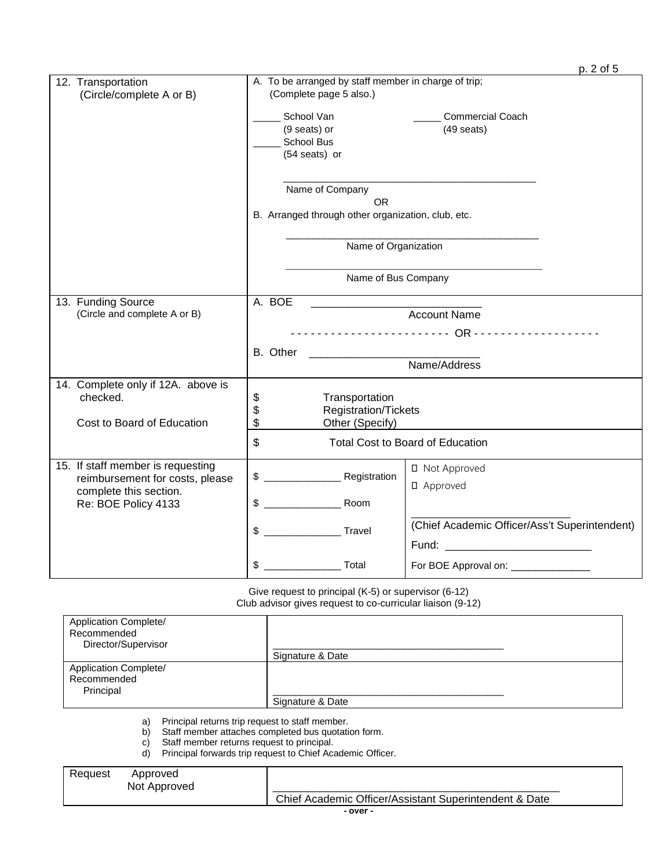|                                                                              |                                                                                                                                                                               | p. 2 of 5 |
|------------------------------------------------------------------------------|-------------------------------------------------------------------------------------------------------------------------------------------------------------------------------|-----------|
| 12. Transportation<br>(Circle/complete A or B)                               | A. To be arranged by staff member in charge of trip;<br>(Complete page 5 also.)<br>School Van<br><b>Commercial Coach</b><br>(9 seats) or<br>$(49$ seats)<br><b>School Bus</b> |           |
|                                                                              | (54 seats) or<br>Name of Company<br><b>OR</b><br>B. Arranged through other organization, club, etc.<br>Name of Organization                                                   |           |
|                                                                              | Name of Bus Company                                                                                                                                                           |           |
| 13. Funding Source<br>(Circle and complete A or B)                           | A. BOE<br><b>Account Name</b><br>B. Other<br>Name/Address                                                                                                                     |           |
| 14. Complete only if 12A. above is<br>checked.<br>Cost to Board of Education | Transportation<br>\$<br>\$<br>Registration/Tickets<br>\$<br>Other (Specify)<br><b>Total Cost to Board of Education</b>                                                        |           |
| 15. If staff member is requesting<br>reimbursement for costs, please         | \$<br>□ Not Approved                                                                                                                                                          |           |
| complete this section.<br>Re: BOE Policy 4133                                | □ Approved<br>\$<br>Room                                                                                                                                                      |           |
|                                                                              | (Chief Academic Officer/Ass't Superintendent)<br>\$<br>Travel<br>Fund: ______________________________                                                                         |           |
|                                                                              | \$<br>Total<br>For BOE Approval on: ______________                                                                                                                            |           |

Give request to principal (K-5) or supervisor (6-12) Club advisor gives request to co-curricular liaison (9-12)

| <b>Application Complete/</b><br>Recommended<br>Director/Supervisor | Signature & Date |
|--------------------------------------------------------------------|------------------|
| Application Complete/<br>Recommended<br>Principal                  | Signature & Date |

a) Principal returns trip request to staff member.

b) Staff member attaches completed bus quotation form.

c) Staff member returns request to principal.

d) Principal forwards trip request to Chief Academic Officer.

| Request | Approved     |                                                        |
|---------|--------------|--------------------------------------------------------|
|         | Not Approved |                                                        |
|         |              | Chief Academic Officer/Assistant Superintendent & Date |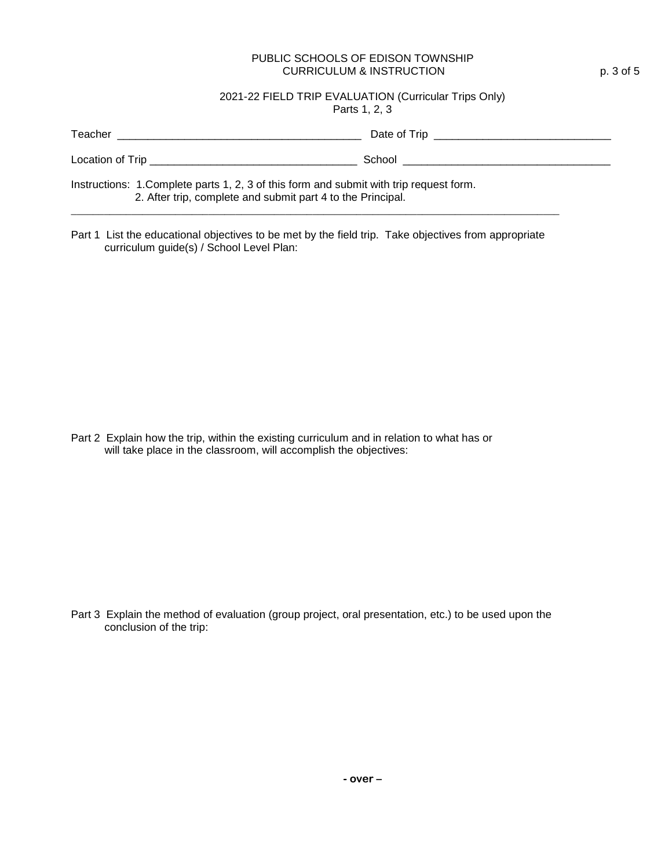#### PUBLIC SCHOOLS OF EDISON TOWNSHIP CURRICULUM & INSTRUCTION p. 3 of 5

#### 2021-22 FIELD TRIP EVALUATION (Curricular Trips Only) Parts 1, 2, 3

| Teacher                                                                                                                                                | Date of Trip the contract of the contract of the contract of the contract of the contract of the contract of the contract of the contract of the contract of the contract of the contract of the contract of the contract of t |
|--------------------------------------------------------------------------------------------------------------------------------------------------------|--------------------------------------------------------------------------------------------------------------------------------------------------------------------------------------------------------------------------------|
| Location of Trip _______________________                                                                                                               | School                                                                                                                                                                                                                         |
| Instructions: 1. Complete parts 1, 2, 3 of this form and submit with trip request form.<br>2. After trip, complete and submit part 4 to the Principal. |                                                                                                                                                                                                                                |

Part 1 List the educational objectives to be met by the field trip. Take objectives from appropriate curriculum guide(s) / School Level Plan:

**\_\_\_\_\_\_\_\_\_\_\_\_\_\_\_\_\_\_\_\_\_\_\_\_\_\_\_\_\_\_\_\_\_\_\_\_\_\_\_\_\_\_\_\_\_\_\_\_\_\_\_\_\_\_\_\_\_\_\_\_\_\_\_\_\_\_\_\_\_\_\_\_\_\_\_\_\_\_\_\_\_\_\_\_\_\_\_\_\_**

Part 2 Explain how the trip, within the existing curriculum and in relation to what has or will take place in the classroom, will accomplish the objectives:

Part 3 Explain the method of evaluation (group project, oral presentation, etc.) to be used upon the conclusion of the trip: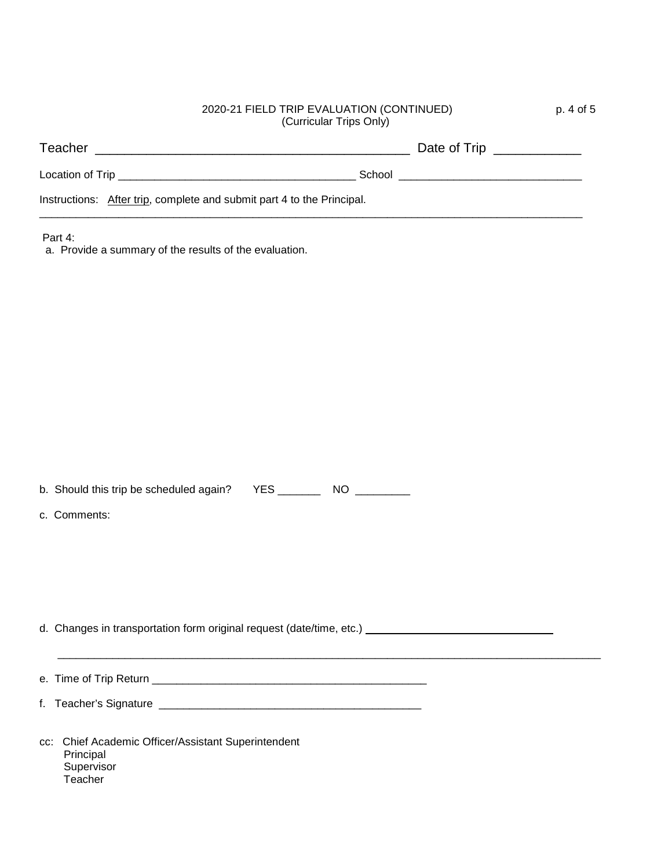## 2020-21 FIELD TRIP EVALUATION (CONTINUED) p. 4 of 5 (Curricular Trips Only)

| Teacher                                                                |        | Date of Trip ______________ |  |
|------------------------------------------------------------------------|--------|-----------------------------|--|
| Location of Trip                                                       | School |                             |  |
| Instructions: After trip, complete and submit part 4 to the Principal. |        |                             |  |

\_\_\_\_\_\_\_\_\_\_\_\_\_\_\_\_\_\_\_\_\_\_\_\_\_\_\_\_\_\_\_\_\_\_\_\_\_\_\_\_\_\_\_\_\_\_\_\_\_\_\_\_\_\_\_\_\_\_\_\_\_\_\_\_\_\_\_\_\_\_\_\_\_\_\_\_\_\_\_\_\_\_\_\_\_\_\_\_\_

Part 4:

a. Provide a summary of the results of the evaluation.

b. Should this trip be scheduled again? YES \_\_\_\_\_\_\_\_\_\_ NO \_\_\_\_\_\_\_\_\_

c. Comments:

d. Changes in transportation form original request (date/time, etc.)

e. Time of Trip Return \_\_\_\_\_\_\_\_\_\_\_\_\_\_\_\_\_\_\_\_\_\_\_\_\_\_\_\_\_\_\_\_\_\_\_\_\_\_\_\_\_\_\_\_\_

 $\mathcal{L}_\text{max}$  , and the contribution of the contribution of the contribution of the contribution of the contribution of the contribution of the contribution of the contribution of the contribution of the contribution of t

f. Teacher's Signature \_\_\_\_\_\_\_\_\_\_\_\_\_\_\_\_\_\_\_\_\_\_\_\_\_\_\_\_\_\_\_\_\_\_\_\_\_\_\_\_\_\_\_

cc: Chief Academic Officer/Assistant Superintendent Principal **Supervisor Teacher**